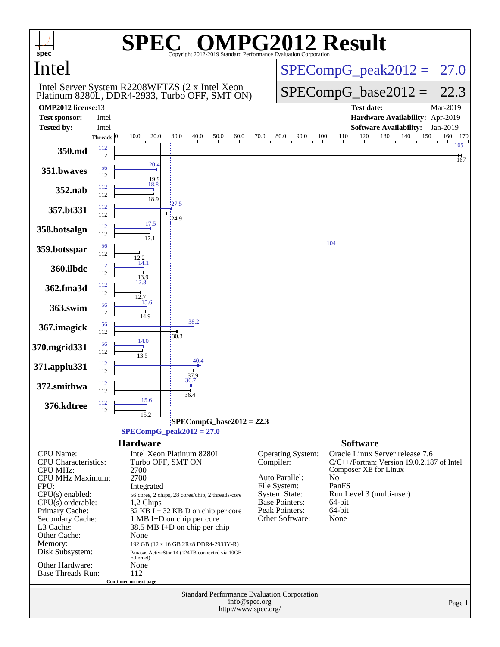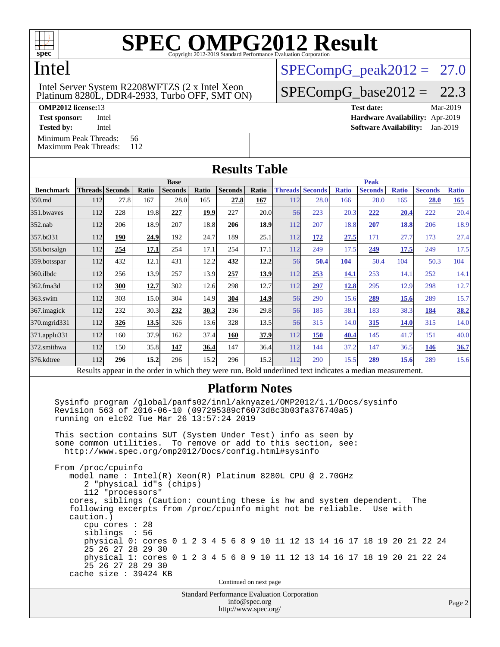

## Intel

### Platinum 8280L, DDR4-2933, Turbo OFF, SMT ON) Intel Server System R2208WFTZS (2 x Intel Xeon

 $SPECompG<sub>peak2012</sub> = 27.0$ 

 $SPECompG_base2012 = 22.3$  $SPECompG_base2012 = 22.3$ 

**[OMP2012 license:](http://www.spec.org/auto/omp2012/Docs/result-fields.html#OMP2012license)**13 **[Test date:](http://www.spec.org/auto/omp2012/Docs/result-fields.html#Testdate)** Mar-2019

**[Test sponsor:](http://www.spec.org/auto/omp2012/Docs/result-fields.html#Testsponsor)** Intel **[Hardware Availability:](http://www.spec.org/auto/omp2012/Docs/result-fields.html#HardwareAvailability)** Apr-2019

**[Tested by:](http://www.spec.org/auto/omp2012/Docs/result-fields.html#Testedby)** Intel **[Software Availability:](http://www.spec.org/auto/omp2012/Docs/result-fields.html#SoftwareAvailability)** Jan-2019

[Minimum Peak Threads:](http://www.spec.org/auto/omp2012/Docs/result-fields.html#MinimumPeakThreads) 56<br>Maximum Peak Threads: 112

[Maximum Peak Threads:](http://www.spec.org/auto/omp2012/Docs/result-fields.html#MaximumPeakThreads)

| <b>Results Table</b> |             |                                                                                                          |              |                |       |                |       |             |                        |              |                |              |                |              |
|----------------------|-------------|----------------------------------------------------------------------------------------------------------|--------------|----------------|-------|----------------|-------|-------------|------------------------|--------------|----------------|--------------|----------------|--------------|
|                      | <b>Base</b> |                                                                                                          |              |                |       |                |       | <b>Peak</b> |                        |              |                |              |                |              |
| <b>Benchmark</b>     |             | <b>Threads Seconds</b>                                                                                   | <b>Ratio</b> | <b>Seconds</b> | Ratio | <b>Seconds</b> | Ratio |             | <b>Threads Seconds</b> | <b>Ratio</b> | <b>Seconds</b> | <b>Ratio</b> | <b>Seconds</b> | <b>Ratio</b> |
| 350.md               | 112         | 27.8                                                                                                     | 167          | 28.0           | 165   | 27.8           | 167   | 112         | 28.0                   | 166          | 28.0           | 165          | 28.0           | 165          |
| 351.bwayes           | 112         | 228                                                                                                      | 19.8         | 227            | 19.9  | 227            | 20.0  | 56          | 223                    | 20.3         | 222            | 20.4         | 222            | 20.4         |
| $352$ .nab           | 112         | 206                                                                                                      | 18.9         | 207            | 18.8  | 206            | 18.9  | 112         | 207                    | 18.8         | <b>207</b>     | 18.8         | 206            | 18.9         |
| 357.bt331            | 112         | 190                                                                                                      | 24.9         | 192            | 24.7  | 189            | 25.1  | 112         | 172                    | 27.5         | 171            | 27.7         | 173            | 27.4         |
| 358.botsalgn         | 112         | 254                                                                                                      | 17.1         | 254            | 17.1  | 254            | 17.1  | 112         | 249                    | 17.5         | 249            | 17.5         | 249            | 17.5         |
| 359.botsspar         | 112         | 432                                                                                                      | 12.1         | 431            | 12.2  | 432            | 12.2  | 56          | 50.4                   | 104          | 50.4           | 104          | 50.3           | 104          |
| 360.ilbdc            | 112         | 256                                                                                                      | 13.9         | 257            | 13.9  | 257            | 13.9  | 112         | 253                    | 14.1         | 253            | 14.1         | 252            | 14.1         |
| 362.fma3d            | 112         | 300                                                                                                      | 12.7         | 302            | 12.6  | 298            | 12.7  | 112         | 297                    | <u>12.8</u>  | 295            | 12.9         | 298            | 12.7         |
| $363$ .swim          | 112         | 303                                                                                                      | 15.0         | 304            | 14.9  | 304            | 14.9  | 56          | 290                    | 15.6         | 289            | 15.6         | 289            | 15.7         |
| 367.imagick          | 112         | 232                                                                                                      | 30.3         | 232            | 30.3  | 236            | 29.8  | 56          | 185                    | 38.1         | 183            | 38.3         | 184            | 38.2         |
| 370.mgrid331         | 112         | 326                                                                                                      | 13.5         | 326            | 13.6  | 328            | 13.5  | 56          | 315                    | 14.0         | 315            | 14.0         | 315            | 14.0         |
| 371.applu331         | 112         | 160                                                                                                      | 37.9         | 162            | 37.4  | 160            | 37.9  | 112         | 150                    | 40.4         | 145            | 41.7         | 151            | 40.0         |
| 372.smithwa          | 112         | 150                                                                                                      | 35.8         | 147            | 36.4  | 147            | 36.4  | 112         | 144                    | 37.2         | 147            | 36.5         | <u> 146</u>    | 36.7         |
| 376.kdtree           | 112         | 296                                                                                                      | 15.2         | 296            | 15.2  | 296            | 15.2  | 112         | 290                    | 15.5         | 289            | 15.6         | 289            | 15.6         |
|                      |             | Results appear in the order in which they were run. Bold underlined text indicates a median measurement. |              |                |       |                |       |             |                        |              |                |              |                |              |

## **[Platform Notes](http://www.spec.org/auto/omp2012/Docs/result-fields.html#PlatformNotes)**

 Sysinfo program /global/panfs02/innl/aknyaze1/OMP2012/1.1/Docs/sysinfo Revision 563 of 2016-06-10 (097295389cf6073d8c3b03fa376740a5) running on elc02 Tue Mar 26 13:57:24 2019

 This section contains SUT (System Under Test) info as seen by some common utilities. To remove or add to this section, see: <http://www.spec.org/omp2012/Docs/config.html#sysinfo>

 From /proc/cpuinfo model name : Intel(R) Xeon(R) Platinum 8280L CPU @ 2.70GHz 2 "physical id"s (chips) 112 "processors" cores, siblings (Caution: counting these is hw and system dependent. The following excerpts from /proc/cpuinfo might not be reliable. Use with caution.) cpu cores : 28 siblings : 56 physical 0: cores 0 1 2 3 4 5 6 8 9 10 11 12 13 14 16 17 18 19 20 21 22 24 25 26 27 28 29 30 physical 1: cores 0 1 2 3 4 5 6 8 9 10 11 12 13 14 16 17 18 19 20 21 22 24 25 26 27 28 29 30 cache size : 39424 KB

Continued on next page

Standard Performance Evaluation Corporation [info@spec.org](mailto:info@spec.org) <http://www.spec.org/>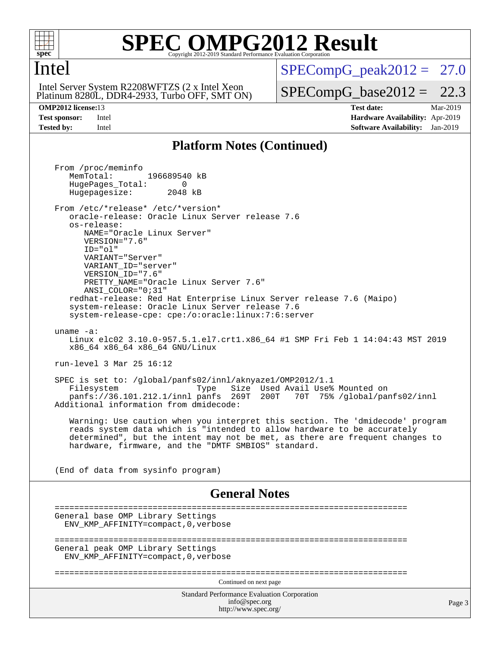

### **[SPEC OMPG2012 Result](http://www.spec.org/auto/omp2012/Docs/result-fields.html#SPECOMPG2012Result)** Copyright 2012-2019 Standard Performance Evaluation

## Intel

 Platinum 8280L, DDR4-2933, Turbo OFF, SMT ON) Intel Server System R2208WFTZS (2 x Intel Xeon

 $SPECompG<sub>peak2012</sub> = 27.0$ 

 $SPECompG_base2012 = 22.3$  $SPECompG_base2012 = 22.3$ 

**[OMP2012 license:](http://www.spec.org/auto/omp2012/Docs/result-fields.html#OMP2012license)**13 **[Test date:](http://www.spec.org/auto/omp2012/Docs/result-fields.html#Testdate)** Mar-2019 **[Test sponsor:](http://www.spec.org/auto/omp2012/Docs/result-fields.html#Testsponsor)** Intel **[Hardware Availability:](http://www.spec.org/auto/omp2012/Docs/result-fields.html#HardwareAvailability)** Apr-2019 **[Tested by:](http://www.spec.org/auto/omp2012/Docs/result-fields.html#Testedby)** Intel **[Software Availability:](http://www.spec.org/auto/omp2012/Docs/result-fields.html#SoftwareAvailability)** Jan-2019

## **[Platform Notes \(Continued\)](http://www.spec.org/auto/omp2012/Docs/result-fields.html#PlatformNotes)**

Standard Performance Evaluation Corporation [info@spec.org](mailto:info@spec.org) <http://www.spec.org/> Page 3 From /proc/meminfo MemTotal: 196689540 kB HugePages\_Total: 0<br>Hugepagesize: 2048 kB Hugepagesize: From /etc/\*release\* /etc/\*version\* oracle-release: Oracle Linux Server release 7.6 os-release: NAME="Oracle Linux Server" VERSION="7.6" ID="ol" VARIANT="Server" VARIANT\_ID="server" VERSION\_ID="7.6" PRETTY\_NAME="Oracle Linux Server 7.6" ANSI\_COLOR="0;31" redhat-release: Red Hat Enterprise Linux Server release 7.6 (Maipo) system-release: Oracle Linux Server release 7.6 system-release-cpe: cpe:/o:oracle:linux:7:6:server uname -a: Linux elc02 3.10.0-957.5.1.el7.crt1.x86\_64 #1 SMP Fri Feb 1 14:04:43 MST 2019 x86\_64 x86\_64 x86\_64 GNU/Linux run-level 3 Mar 25 16:12 SPEC is set to: /global/panfs02/innl/aknyaze1/OMP2012/1.1 Type Size Used Avail Use% Mounted on panfs://36.101.212.1/innl panfs 269T 200T 70T 75% /global/panfs02/innl Additional information from dmidecode: Warning: Use caution when you interpret this section. The 'dmidecode' program reads system data which is "intended to allow hardware to be accurately determined", but the intent may not be met, as there are frequent changes to hardware, firmware, and the "DMTF SMBIOS" standard. (End of data from sysinfo program) **[General Notes](http://www.spec.org/auto/omp2012/Docs/result-fields.html#GeneralNotes)** ======================================================================== General base OMP Library Settings ENV\_KMP\_AFFINITY=compact,0,verbose ======================================================================== General peak OMP Library Settings ENV\_KMP\_AFFINITY=compact,0,verbose ======================================================================== Continued on next page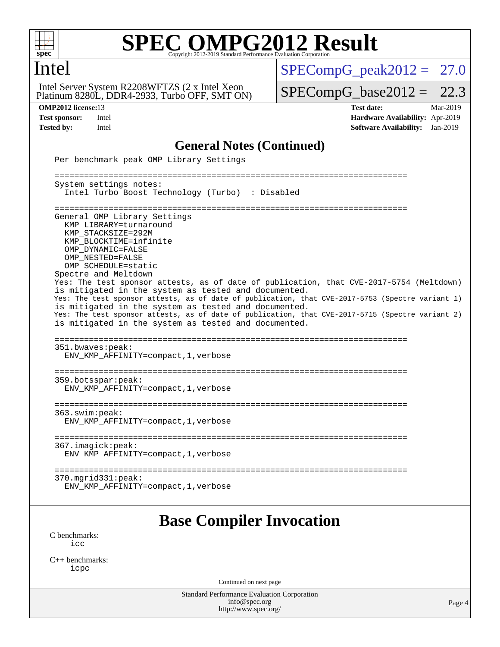

Intel

# **[SPEC OMPG2012 Result](http://www.spec.org/auto/omp2012/Docs/result-fields.html#SPECOMPG2012Result)**

### Platinum 8280L, DDR4-2933, Turbo OFF, SMT ON) Intel Server System R2208WFTZS (2 x Intel Xeon

## $SPECompG_peak2012 = 27.0$  $SPECompG_peak2012 = 27.0$

 $SPECompG_base2012 = 22.3$  $SPECompG_base2012 = 22.3$ 

**[OMP2012 license:](http://www.spec.org/auto/omp2012/Docs/result-fields.html#OMP2012license)**13 **[Test date:](http://www.spec.org/auto/omp2012/Docs/result-fields.html#Testdate)** Mar-2019 **[Test sponsor:](http://www.spec.org/auto/omp2012/Docs/result-fields.html#Testsponsor)** Intel **[Hardware Availability:](http://www.spec.org/auto/omp2012/Docs/result-fields.html#HardwareAvailability)** Apr-2019 **[Tested by:](http://www.spec.org/auto/omp2012/Docs/result-fields.html#Testedby)** Intel **[Software Availability:](http://www.spec.org/auto/omp2012/Docs/result-fields.html#SoftwareAvailability)** Jan-2019

## **[General Notes \(Continued\)](http://www.spec.org/auto/omp2012/Docs/result-fields.html#GeneralNotes)**

| Per benchmark peak OMP Library Settings                                                                                                                                                                                                                                                                                                                                                                                                                                                                                                                                                                                                                                   |        |
|---------------------------------------------------------------------------------------------------------------------------------------------------------------------------------------------------------------------------------------------------------------------------------------------------------------------------------------------------------------------------------------------------------------------------------------------------------------------------------------------------------------------------------------------------------------------------------------------------------------------------------------------------------------------------|--------|
| System settings notes:<br>Intel Turbo Boost Technology (Turbo) : Disabled                                                                                                                                                                                                                                                                                                                                                                                                                                                                                                                                                                                                 |        |
| General OMP Library Settings<br>KMP LIBRARY=turnaround<br>KMP_STACKSIZE=292M<br>KMP BLOCKTIME=infinite<br>OMP DYNAMIC=FALSE<br>OMP NESTED=FALSE<br>OMP_SCHEDULE=static<br>Spectre and Meltdown<br>Yes: The test sponsor attests, as of date of publication, that CVE-2017-5754 (Meltdown)<br>is mitigated in the system as tested and documented.<br>Yes: The test sponsor attests, as of date of publication, that CVE-2017-5753 (Spectre variant 1)<br>is mitigated in the system as tested and documented.<br>Yes: The test sponsor attests, as of date of publication, that CVE-2017-5715 (Spectre variant 2)<br>is mitigated in the system as tested and documented. |        |
| 351.bwaves:peak:<br>ENV_KMP_AFFINITY=compact, 1, verbose                                                                                                                                                                                                                                                                                                                                                                                                                                                                                                                                                                                                                  |        |
| 359.botsspar: peak:<br>ENV_KMP_AFFINITY=compact, 1, verbose                                                                                                                                                                                                                                                                                                                                                                                                                                                                                                                                                                                                               |        |
| 363.swim:peak:<br>ENV_KMP_AFFINITY=compact, 1, verbose                                                                                                                                                                                                                                                                                                                                                                                                                                                                                                                                                                                                                    |        |
| 367.imagick:peak:<br>ENV_KMP_AFFINITY=compact, 1, verbose                                                                                                                                                                                                                                                                                                                                                                                                                                                                                                                                                                                                                 |        |
| $370.\text{mgrid}331:\text{peak}:$<br>ENV_KMP_AFFINITY=compact, 1, verbose                                                                                                                                                                                                                                                                                                                                                                                                                                                                                                                                                                                                |        |
| <b>Base Compiler Invocation</b>                                                                                                                                                                                                                                                                                                                                                                                                                                                                                                                                                                                                                                           |        |
| C benchmarks:<br>icc                                                                                                                                                                                                                                                                                                                                                                                                                                                                                                                                                                                                                                                      |        |
| $C_{++}$ benchmarks:<br>icpc                                                                                                                                                                                                                                                                                                                                                                                                                                                                                                                                                                                                                                              |        |
| Continued on next page                                                                                                                                                                                                                                                                                                                                                                                                                                                                                                                                                                                                                                                    |        |
| Standard Performance Evaluation Corporation<br>info@spec.org<br>http://www.spec.org/                                                                                                                                                                                                                                                                                                                                                                                                                                                                                                                                                                                      | Page 4 |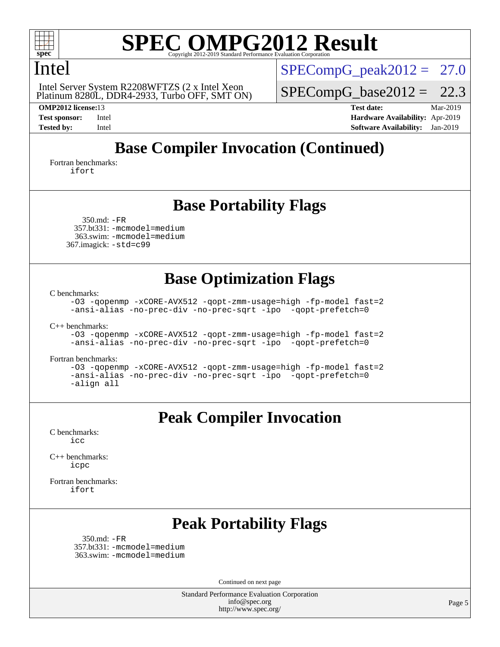

## Intel

 Platinum 8280L, DDR4-2933, Turbo OFF, SMT ON) Intel Server System R2208WFTZS (2 x Intel Xeon

 $SPECompG<sub>peak2012</sub> = 27.0$ 

 $SPECompG_base2012 = 22.3$  $SPECompG_base2012 = 22.3$ 

**[OMP2012 license:](http://www.spec.org/auto/omp2012/Docs/result-fields.html#OMP2012license)**13 **[Test date:](http://www.spec.org/auto/omp2012/Docs/result-fields.html#Testdate)** Mar-2019 **[Test sponsor:](http://www.spec.org/auto/omp2012/Docs/result-fields.html#Testsponsor)** Intel **[Hardware Availability:](http://www.spec.org/auto/omp2012/Docs/result-fields.html#HardwareAvailability)** Apr-2019 **[Tested by:](http://www.spec.org/auto/omp2012/Docs/result-fields.html#Testedby)** Intel **[Software Availability:](http://www.spec.org/auto/omp2012/Docs/result-fields.html#SoftwareAvailability)** Jan-2019

## **[Base Compiler Invocation \(Continued\)](http://www.spec.org/auto/omp2012/Docs/result-fields.html#BaseCompilerInvocation)**

[Fortran benchmarks](http://www.spec.org/auto/omp2012/Docs/result-fields.html#Fortranbenchmarks): [ifort](http://www.spec.org/omp2012/results/res2019q2/omp2012-20190326-00177.flags.html#user_FCbase_intel_ifort_8a5e5e06b19a251bdeaf8fdab5d62f20)

## **[Base Portability Flags](http://www.spec.org/auto/omp2012/Docs/result-fields.html#BasePortabilityFlags)**

 350.md: [-FR](http://www.spec.org/omp2012/results/res2019q2/omp2012-20190326-00177.flags.html#user_baseFPORTABILITY350_md_f-FR) 357.bt331: [-mcmodel=medium](http://www.spec.org/omp2012/results/res2019q2/omp2012-20190326-00177.flags.html#user_basePORTABILITY357_bt331_f-mcmodel_3a41622424bdd074c4f0f2d2f224c7e5) 363.swim: [-mcmodel=medium](http://www.spec.org/omp2012/results/res2019q2/omp2012-20190326-00177.flags.html#user_basePORTABILITY363_swim_f-mcmodel_3a41622424bdd074c4f0f2d2f224c7e5) 367.imagick: [-std=c99](http://www.spec.org/omp2012/results/res2019q2/omp2012-20190326-00177.flags.html#user_baseCPORTABILITY367_imagick_f-std_2ec6533b6e06f1c4a6c9b78d9e9cde24)

## **[Base Optimization Flags](http://www.spec.org/auto/omp2012/Docs/result-fields.html#BaseOptimizationFlags)**

[C benchmarks](http://www.spec.org/auto/omp2012/Docs/result-fields.html#Cbenchmarks):

[-O3](http://www.spec.org/omp2012/results/res2019q2/omp2012-20190326-00177.flags.html#user_CCbase_f-O3) [-qopenmp](http://www.spec.org/omp2012/results/res2019q2/omp2012-20190326-00177.flags.html#user_CCbase_f-qopenmp) [-xCORE-AVX512](http://www.spec.org/omp2012/results/res2019q2/omp2012-20190326-00177.flags.html#user_CCbase_f-xCORE-AVX512) [-qopt-zmm-usage=high](http://www.spec.org/omp2012/results/res2019q2/omp2012-20190326-00177.flags.html#user_CCbase_f-qopt-zmm-usage_213d857421e75f2db2f896f7900465fb) [-fp-model fast=2](http://www.spec.org/omp2012/results/res2019q2/omp2012-20190326-00177.flags.html#user_CCbase_f-fp-model_a7fb8ccb7275e23f0079632c153cfcab) [-ansi-alias](http://www.spec.org/omp2012/results/res2019q2/omp2012-20190326-00177.flags.html#user_CCbase_f-ansi-alias) [-no-prec-div](http://www.spec.org/omp2012/results/res2019q2/omp2012-20190326-00177.flags.html#user_CCbase_f-no-prec-div) [-no-prec-sqrt](http://www.spec.org/omp2012/results/res2019q2/omp2012-20190326-00177.flags.html#user_CCbase_f-no-prec-sqrt) [-ipo](http://www.spec.org/omp2012/results/res2019q2/omp2012-20190326-00177.flags.html#user_CCbase_f-ipo_84062ab53814f613187d02344b8f49a7) [-qopt-prefetch=0](http://www.spec.org/omp2012/results/res2019q2/omp2012-20190326-00177.flags.html#user_CCbase_f-qopt-prefetch_ce172c705aa924d14c76f32fff3f4886)

[C++ benchmarks:](http://www.spec.org/auto/omp2012/Docs/result-fields.html#CXXbenchmarks)

[-O3](http://www.spec.org/omp2012/results/res2019q2/omp2012-20190326-00177.flags.html#user_CXXbase_f-O3) [-qopenmp](http://www.spec.org/omp2012/results/res2019q2/omp2012-20190326-00177.flags.html#user_CXXbase_f-qopenmp) [-xCORE-AVX512](http://www.spec.org/omp2012/results/res2019q2/omp2012-20190326-00177.flags.html#user_CXXbase_f-xCORE-AVX512) [-qopt-zmm-usage=high](http://www.spec.org/omp2012/results/res2019q2/omp2012-20190326-00177.flags.html#user_CXXbase_f-qopt-zmm-usage_213d857421e75f2db2f896f7900465fb) [-fp-model fast=2](http://www.spec.org/omp2012/results/res2019q2/omp2012-20190326-00177.flags.html#user_CXXbase_f-fp-model_a7fb8ccb7275e23f0079632c153cfcab) [-ansi-alias](http://www.spec.org/omp2012/results/res2019q2/omp2012-20190326-00177.flags.html#user_CXXbase_f-ansi-alias) [-no-prec-div](http://www.spec.org/omp2012/results/res2019q2/omp2012-20190326-00177.flags.html#user_CXXbase_f-no-prec-div) [-no-prec-sqrt](http://www.spec.org/omp2012/results/res2019q2/omp2012-20190326-00177.flags.html#user_CXXbase_f-no-prec-sqrt) [-ipo](http://www.spec.org/omp2012/results/res2019q2/omp2012-20190326-00177.flags.html#user_CXXbase_f-ipo_84062ab53814f613187d02344b8f49a7) [-qopt-prefetch=0](http://www.spec.org/omp2012/results/res2019q2/omp2012-20190326-00177.flags.html#user_CXXbase_f-qopt-prefetch_ce172c705aa924d14c76f32fff3f4886)

[Fortran benchmarks](http://www.spec.org/auto/omp2012/Docs/result-fields.html#Fortranbenchmarks):

[-O3](http://www.spec.org/omp2012/results/res2019q2/omp2012-20190326-00177.flags.html#user_FCbase_f-O3) [-qopenmp](http://www.spec.org/omp2012/results/res2019q2/omp2012-20190326-00177.flags.html#user_FCbase_f-qopenmp) [-xCORE-AVX512](http://www.spec.org/omp2012/results/res2019q2/omp2012-20190326-00177.flags.html#user_FCbase_f-xCORE-AVX512) [-qopt-zmm-usage=high](http://www.spec.org/omp2012/results/res2019q2/omp2012-20190326-00177.flags.html#user_FCbase_f-qopt-zmm-usage_213d857421e75f2db2f896f7900465fb) [-fp-model fast=2](http://www.spec.org/omp2012/results/res2019q2/omp2012-20190326-00177.flags.html#user_FCbase_f-fp-model_a7fb8ccb7275e23f0079632c153cfcab) [-ansi-alias](http://www.spec.org/omp2012/results/res2019q2/omp2012-20190326-00177.flags.html#user_FCbase_f-ansi-alias) [-no-prec-div](http://www.spec.org/omp2012/results/res2019q2/omp2012-20190326-00177.flags.html#user_FCbase_f-no-prec-div) [-no-prec-sqrt](http://www.spec.org/omp2012/results/res2019q2/omp2012-20190326-00177.flags.html#user_FCbase_f-no-prec-sqrt) [-ipo](http://www.spec.org/omp2012/results/res2019q2/omp2012-20190326-00177.flags.html#user_FCbase_f-ipo_84062ab53814f613187d02344b8f49a7) [-qopt-prefetch=0](http://www.spec.org/omp2012/results/res2019q2/omp2012-20190326-00177.flags.html#user_FCbase_f-qopt-prefetch_ce172c705aa924d14c76f32fff3f4886) [-align all](http://www.spec.org/omp2012/results/res2019q2/omp2012-20190326-00177.flags.html#user_FCbase_f-align_1ebfa66158b49aff21b037afc4046011)

## **[Peak Compiler Invocation](http://www.spec.org/auto/omp2012/Docs/result-fields.html#PeakCompilerInvocation)**

[C benchmarks](http://www.spec.org/auto/omp2012/Docs/result-fields.html#Cbenchmarks): [icc](http://www.spec.org/omp2012/results/res2019q2/omp2012-20190326-00177.flags.html#user_CCpeak_intel_icc_a87c68a857bc5ec5362391a49d3a37a6)

[C++ benchmarks:](http://www.spec.org/auto/omp2012/Docs/result-fields.html#CXXbenchmarks) [icpc](http://www.spec.org/omp2012/results/res2019q2/omp2012-20190326-00177.flags.html#user_CXXpeak_intel_icpc_2d899f8d163502b12eb4a60069f80c1c)

[Fortran benchmarks](http://www.spec.org/auto/omp2012/Docs/result-fields.html#Fortranbenchmarks): [ifort](http://www.spec.org/omp2012/results/res2019q2/omp2012-20190326-00177.flags.html#user_FCpeak_intel_ifort_8a5e5e06b19a251bdeaf8fdab5d62f20)

## **[Peak Portability Flags](http://www.spec.org/auto/omp2012/Docs/result-fields.html#PeakPortabilityFlags)**

 350.md: [-FR](http://www.spec.org/omp2012/results/res2019q2/omp2012-20190326-00177.flags.html#user_peakFPORTABILITY350_md_f-FR) 357.bt331: [-mcmodel=medium](http://www.spec.org/omp2012/results/res2019q2/omp2012-20190326-00177.flags.html#user_peakPORTABILITY357_bt331_f-mcmodel_3a41622424bdd074c4f0f2d2f224c7e5) 363.swim: [-mcmodel=medium](http://www.spec.org/omp2012/results/res2019q2/omp2012-20190326-00177.flags.html#user_peakPORTABILITY363_swim_f-mcmodel_3a41622424bdd074c4f0f2d2f224c7e5)

Continued on next page

Standard Performance Evaluation Corporation [info@spec.org](mailto:info@spec.org) <http://www.spec.org/>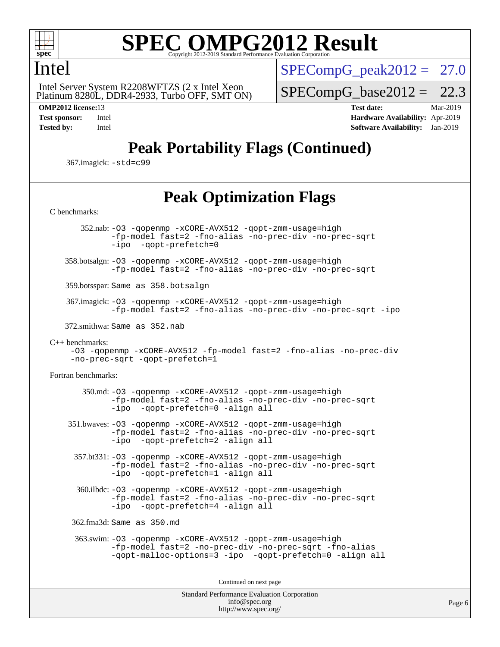

## Intel

 Platinum 8280L, DDR4-2933, Turbo OFF, SMT ON) Intel Server System R2208WFTZS (2 x Intel Xeon

 $SPECompG_peak2012 = 27.0$  $SPECompG_peak2012 = 27.0$ 

 $SPECompG_base2012 = 22.3$  $SPECompG_base2012 = 22.3$ 

**[OMP2012 license:](http://www.spec.org/auto/omp2012/Docs/result-fields.html#OMP2012license)**13 **[Test date:](http://www.spec.org/auto/omp2012/Docs/result-fields.html#Testdate)** Mar-2019 **[Test sponsor:](http://www.spec.org/auto/omp2012/Docs/result-fields.html#Testsponsor)** Intel **[Hardware Availability:](http://www.spec.org/auto/omp2012/Docs/result-fields.html#HardwareAvailability)** Apr-2019 **[Tested by:](http://www.spec.org/auto/omp2012/Docs/result-fields.html#Testedby)** Intel **[Software Availability:](http://www.spec.org/auto/omp2012/Docs/result-fields.html#SoftwareAvailability)** Jan-2019

Page 6

## **[Peak Portability Flags \(Continued\)](http://www.spec.org/auto/omp2012/Docs/result-fields.html#PeakPortabilityFlags)**

367.imagick: [-std=c99](http://www.spec.org/omp2012/results/res2019q2/omp2012-20190326-00177.flags.html#user_peakCPORTABILITY367_imagick_f-std_2ec6533b6e06f1c4a6c9b78d9e9cde24)

## **[Peak Optimization Flags](http://www.spec.org/auto/omp2012/Docs/result-fields.html#PeakOptimizationFlags)**

Standard Performance Evaluation Corporation [info@spec.org](mailto:info@spec.org) [C benchmarks](http://www.spec.org/auto/omp2012/Docs/result-fields.html#Cbenchmarks): 352.nab: [-O3](http://www.spec.org/omp2012/results/res2019q2/omp2012-20190326-00177.flags.html#user_peakOPTIMIZE352_nab_f-O3) [-qopenmp](http://www.spec.org/omp2012/results/res2019q2/omp2012-20190326-00177.flags.html#user_peakOPTIMIZE352_nab_f-qopenmp) [-xCORE-AVX512](http://www.spec.org/omp2012/results/res2019q2/omp2012-20190326-00177.flags.html#user_peakOPTIMIZE352_nab_f-xCORE-AVX512) [-qopt-zmm-usage=high](http://www.spec.org/omp2012/results/res2019q2/omp2012-20190326-00177.flags.html#user_peakOPTIMIZE352_nab_f-qopt-zmm-usage_213d857421e75f2db2f896f7900465fb) [-fp-model fast=2](http://www.spec.org/omp2012/results/res2019q2/omp2012-20190326-00177.flags.html#user_peakOPTIMIZE352_nab_f-fp-model_a7fb8ccb7275e23f0079632c153cfcab) [-fno-alias](http://www.spec.org/omp2012/results/res2019q2/omp2012-20190326-00177.flags.html#user_peakOPTIMIZE352_nab_f-no-alias_694e77f6c5a51e658e82ccff53a9e63a) [-no-prec-div](http://www.spec.org/omp2012/results/res2019q2/omp2012-20190326-00177.flags.html#user_peakOPTIMIZE352_nab_f-no-prec-div) [-no-prec-sqrt](http://www.spec.org/omp2012/results/res2019q2/omp2012-20190326-00177.flags.html#user_peakOPTIMIZE352_nab_f-no-prec-sqrt) [-ipo](http://www.spec.org/omp2012/results/res2019q2/omp2012-20190326-00177.flags.html#user_peakOPTIMIZE352_nab_f-ipo_84062ab53814f613187d02344b8f49a7) [-qopt-prefetch=0](http://www.spec.org/omp2012/results/res2019q2/omp2012-20190326-00177.flags.html#user_peakOPTIMIZE352_nab_f-qopt-prefetch_ce172c705aa924d14c76f32fff3f4886) 358.botsalgn: [-O3](http://www.spec.org/omp2012/results/res2019q2/omp2012-20190326-00177.flags.html#user_peakOPTIMIZE358_botsalgn_f-O3) [-qopenmp](http://www.spec.org/omp2012/results/res2019q2/omp2012-20190326-00177.flags.html#user_peakOPTIMIZE358_botsalgn_f-qopenmp) [-xCORE-AVX512](http://www.spec.org/omp2012/results/res2019q2/omp2012-20190326-00177.flags.html#user_peakOPTIMIZE358_botsalgn_f-xCORE-AVX512) [-qopt-zmm-usage=high](http://www.spec.org/omp2012/results/res2019q2/omp2012-20190326-00177.flags.html#user_peakOPTIMIZE358_botsalgn_f-qopt-zmm-usage_213d857421e75f2db2f896f7900465fb) [-fp-model fast=2](http://www.spec.org/omp2012/results/res2019q2/omp2012-20190326-00177.flags.html#user_peakOPTIMIZE358_botsalgn_f-fp-model_a7fb8ccb7275e23f0079632c153cfcab) [-fno-alias](http://www.spec.org/omp2012/results/res2019q2/omp2012-20190326-00177.flags.html#user_peakOPTIMIZE358_botsalgn_f-no-alias_694e77f6c5a51e658e82ccff53a9e63a) [-no-prec-div](http://www.spec.org/omp2012/results/res2019q2/omp2012-20190326-00177.flags.html#user_peakOPTIMIZE358_botsalgn_f-no-prec-div) [-no-prec-sqrt](http://www.spec.org/omp2012/results/res2019q2/omp2012-20190326-00177.flags.html#user_peakOPTIMIZE358_botsalgn_f-no-prec-sqrt) 359.botsspar: Same as 358.botsalgn 367.imagick: [-O3](http://www.spec.org/omp2012/results/res2019q2/omp2012-20190326-00177.flags.html#user_peakOPTIMIZE367_imagick_f-O3) [-qopenmp](http://www.spec.org/omp2012/results/res2019q2/omp2012-20190326-00177.flags.html#user_peakOPTIMIZE367_imagick_f-qopenmp) [-xCORE-AVX512](http://www.spec.org/omp2012/results/res2019q2/omp2012-20190326-00177.flags.html#user_peakOPTIMIZE367_imagick_f-xCORE-AVX512) [-qopt-zmm-usage=high](http://www.spec.org/omp2012/results/res2019q2/omp2012-20190326-00177.flags.html#user_peakOPTIMIZE367_imagick_f-qopt-zmm-usage_213d857421e75f2db2f896f7900465fb) [-fp-model fast=2](http://www.spec.org/omp2012/results/res2019q2/omp2012-20190326-00177.flags.html#user_peakOPTIMIZE367_imagick_f-fp-model_a7fb8ccb7275e23f0079632c153cfcab) [-fno-alias](http://www.spec.org/omp2012/results/res2019q2/omp2012-20190326-00177.flags.html#user_peakOPTIMIZE367_imagick_f-no-alias_694e77f6c5a51e658e82ccff53a9e63a) [-no-prec-div](http://www.spec.org/omp2012/results/res2019q2/omp2012-20190326-00177.flags.html#user_peakOPTIMIZE367_imagick_f-no-prec-div) [-no-prec-sqrt](http://www.spec.org/omp2012/results/res2019q2/omp2012-20190326-00177.flags.html#user_peakOPTIMIZE367_imagick_f-no-prec-sqrt) [-ipo](http://www.spec.org/omp2012/results/res2019q2/omp2012-20190326-00177.flags.html#user_peakOPTIMIZE367_imagick_f-ipo) 372.smithwa: Same as 352.nab [C++ benchmarks:](http://www.spec.org/auto/omp2012/Docs/result-fields.html#CXXbenchmarks) [-O3](http://www.spec.org/omp2012/results/res2019q2/omp2012-20190326-00177.flags.html#user_CXXpeak_f-O3) [-qopenmp](http://www.spec.org/omp2012/results/res2019q2/omp2012-20190326-00177.flags.html#user_CXXpeak_f-qopenmp) [-xCORE-AVX512](http://www.spec.org/omp2012/results/res2019q2/omp2012-20190326-00177.flags.html#user_CXXpeak_f-xCORE-AVX512) [-fp-model fast=2](http://www.spec.org/omp2012/results/res2019q2/omp2012-20190326-00177.flags.html#user_CXXpeak_f-fp-model_a7fb8ccb7275e23f0079632c153cfcab) [-fno-alias](http://www.spec.org/omp2012/results/res2019q2/omp2012-20190326-00177.flags.html#user_CXXpeak_f-no-alias_694e77f6c5a51e658e82ccff53a9e63a) [-no-prec-div](http://www.spec.org/omp2012/results/res2019q2/omp2012-20190326-00177.flags.html#user_CXXpeak_f-no-prec-div) [-no-prec-sqrt](http://www.spec.org/omp2012/results/res2019q2/omp2012-20190326-00177.flags.html#user_CXXpeak_f-no-prec-sqrt) [-qopt-prefetch=1](http://www.spec.org/omp2012/results/res2019q2/omp2012-20190326-00177.flags.html#user_CXXpeak_f-qopt-prefetch_9097ad9b78e4401c727c33237ff25d7e) [Fortran benchmarks](http://www.spec.org/auto/omp2012/Docs/result-fields.html#Fortranbenchmarks): 350.md: [-O3](http://www.spec.org/omp2012/results/res2019q2/omp2012-20190326-00177.flags.html#user_peakOPTIMIZE350_md_f-O3) [-qopenmp](http://www.spec.org/omp2012/results/res2019q2/omp2012-20190326-00177.flags.html#user_peakOPTIMIZE350_md_f-qopenmp) [-xCORE-AVX512](http://www.spec.org/omp2012/results/res2019q2/omp2012-20190326-00177.flags.html#user_peakOPTIMIZE350_md_f-xCORE-AVX512) [-qopt-zmm-usage=high](http://www.spec.org/omp2012/results/res2019q2/omp2012-20190326-00177.flags.html#user_peakOPTIMIZE350_md_f-qopt-zmm-usage_213d857421e75f2db2f896f7900465fb) [-fp-model fast=2](http://www.spec.org/omp2012/results/res2019q2/omp2012-20190326-00177.flags.html#user_peakOPTIMIZE350_md_f-fp-model_a7fb8ccb7275e23f0079632c153cfcab) [-fno-alias](http://www.spec.org/omp2012/results/res2019q2/omp2012-20190326-00177.flags.html#user_peakOPTIMIZE350_md_f-no-alias_694e77f6c5a51e658e82ccff53a9e63a) [-no-prec-div](http://www.spec.org/omp2012/results/res2019q2/omp2012-20190326-00177.flags.html#user_peakOPTIMIZE350_md_f-no-prec-div) [-no-prec-sqrt](http://www.spec.org/omp2012/results/res2019q2/omp2012-20190326-00177.flags.html#user_peakOPTIMIZE350_md_f-no-prec-sqrt) [-ipo](http://www.spec.org/omp2012/results/res2019q2/omp2012-20190326-00177.flags.html#user_peakOPTIMIZE350_md_f-ipo_84062ab53814f613187d02344b8f49a7) [-qopt-prefetch=0](http://www.spec.org/omp2012/results/res2019q2/omp2012-20190326-00177.flags.html#user_peakOPTIMIZE350_md_f-qopt-prefetch_ce172c705aa924d14c76f32fff3f4886) [-align all](http://www.spec.org/omp2012/results/res2019q2/omp2012-20190326-00177.flags.html#user_peakFOPTIMIZE350_md_f-align_1ebfa66158b49aff21b037afc4046011) 351.bwaves: [-O3](http://www.spec.org/omp2012/results/res2019q2/omp2012-20190326-00177.flags.html#user_peakOPTIMIZE351_bwaves_f-O3) [-qopenmp](http://www.spec.org/omp2012/results/res2019q2/omp2012-20190326-00177.flags.html#user_peakOPTIMIZE351_bwaves_f-qopenmp) [-xCORE-AVX512](http://www.spec.org/omp2012/results/res2019q2/omp2012-20190326-00177.flags.html#user_peakOPTIMIZE351_bwaves_f-xCORE-AVX512) [-qopt-zmm-usage=high](http://www.spec.org/omp2012/results/res2019q2/omp2012-20190326-00177.flags.html#user_peakOPTIMIZE351_bwaves_f-qopt-zmm-usage_213d857421e75f2db2f896f7900465fb) [-fp-model fast=2](http://www.spec.org/omp2012/results/res2019q2/omp2012-20190326-00177.flags.html#user_peakOPTIMIZE351_bwaves_f-fp-model_a7fb8ccb7275e23f0079632c153cfcab) [-fno-alias](http://www.spec.org/omp2012/results/res2019q2/omp2012-20190326-00177.flags.html#user_peakOPTIMIZE351_bwaves_f-no-alias_694e77f6c5a51e658e82ccff53a9e63a) [-no-prec-div](http://www.spec.org/omp2012/results/res2019q2/omp2012-20190326-00177.flags.html#user_peakOPTIMIZE351_bwaves_f-no-prec-div) [-no-prec-sqrt](http://www.spec.org/omp2012/results/res2019q2/omp2012-20190326-00177.flags.html#user_peakOPTIMIZE351_bwaves_f-no-prec-sqrt) [-ipo](http://www.spec.org/omp2012/results/res2019q2/omp2012-20190326-00177.flags.html#user_peakOPTIMIZE351_bwaves_f-ipo_84062ab53814f613187d02344b8f49a7) [-qopt-prefetch=2](http://www.spec.org/omp2012/results/res2019q2/omp2012-20190326-00177.flags.html#user_peakOPTIMIZE351_bwaves_f-qopt-prefetch_5dd8eff5680869f15030b88dfb173050) [-align all](http://www.spec.org/omp2012/results/res2019q2/omp2012-20190326-00177.flags.html#user_peakFOPTIMIZE351_bwaves_f-align_1ebfa66158b49aff21b037afc4046011) 357.bt331: [-O3](http://www.spec.org/omp2012/results/res2019q2/omp2012-20190326-00177.flags.html#user_peakOPTIMIZE357_bt331_f-O3) [-qopenmp](http://www.spec.org/omp2012/results/res2019q2/omp2012-20190326-00177.flags.html#user_peakOPTIMIZE357_bt331_f-qopenmp) [-xCORE-AVX512](http://www.spec.org/omp2012/results/res2019q2/omp2012-20190326-00177.flags.html#user_peakOPTIMIZE357_bt331_f-xCORE-AVX512) [-qopt-zmm-usage=high](http://www.spec.org/omp2012/results/res2019q2/omp2012-20190326-00177.flags.html#user_peakOPTIMIZE357_bt331_f-qopt-zmm-usage_213d857421e75f2db2f896f7900465fb) [-fp-model fast=2](http://www.spec.org/omp2012/results/res2019q2/omp2012-20190326-00177.flags.html#user_peakOPTIMIZE357_bt331_f-fp-model_a7fb8ccb7275e23f0079632c153cfcab) [-fno-alias](http://www.spec.org/omp2012/results/res2019q2/omp2012-20190326-00177.flags.html#user_peakOPTIMIZE357_bt331_f-no-alias_694e77f6c5a51e658e82ccff53a9e63a) [-no-prec-div](http://www.spec.org/omp2012/results/res2019q2/omp2012-20190326-00177.flags.html#user_peakOPTIMIZE357_bt331_f-no-prec-div) [-no-prec-sqrt](http://www.spec.org/omp2012/results/res2019q2/omp2012-20190326-00177.flags.html#user_peakOPTIMIZE357_bt331_f-no-prec-sqrt) [-ipo](http://www.spec.org/omp2012/results/res2019q2/omp2012-20190326-00177.flags.html#user_peakOPTIMIZE357_bt331_f-ipo_84062ab53814f613187d02344b8f49a7) [-qopt-prefetch=1](http://www.spec.org/omp2012/results/res2019q2/omp2012-20190326-00177.flags.html#user_peakOPTIMIZE357_bt331_f-qopt-prefetch_9097ad9b78e4401c727c33237ff25d7e) [-align all](http://www.spec.org/omp2012/results/res2019q2/omp2012-20190326-00177.flags.html#user_peakFOPTIMIZE357_bt331_f-align_1ebfa66158b49aff21b037afc4046011) 360.ilbdc: [-O3](http://www.spec.org/omp2012/results/res2019q2/omp2012-20190326-00177.flags.html#user_peakOPTIMIZE360_ilbdc_f-O3) [-qopenmp](http://www.spec.org/omp2012/results/res2019q2/omp2012-20190326-00177.flags.html#user_peakOPTIMIZE360_ilbdc_f-qopenmp) [-xCORE-AVX512](http://www.spec.org/omp2012/results/res2019q2/omp2012-20190326-00177.flags.html#user_peakOPTIMIZE360_ilbdc_f-xCORE-AVX512) [-qopt-zmm-usage=high](http://www.spec.org/omp2012/results/res2019q2/omp2012-20190326-00177.flags.html#user_peakOPTIMIZE360_ilbdc_f-qopt-zmm-usage_213d857421e75f2db2f896f7900465fb) [-fp-model fast=2](http://www.spec.org/omp2012/results/res2019q2/omp2012-20190326-00177.flags.html#user_peakOPTIMIZE360_ilbdc_f-fp-model_a7fb8ccb7275e23f0079632c153cfcab) [-fno-alias](http://www.spec.org/omp2012/results/res2019q2/omp2012-20190326-00177.flags.html#user_peakOPTIMIZE360_ilbdc_f-no-alias_694e77f6c5a51e658e82ccff53a9e63a) [-no-prec-div](http://www.spec.org/omp2012/results/res2019q2/omp2012-20190326-00177.flags.html#user_peakOPTIMIZE360_ilbdc_f-no-prec-div) [-no-prec-sqrt](http://www.spec.org/omp2012/results/res2019q2/omp2012-20190326-00177.flags.html#user_peakOPTIMIZE360_ilbdc_f-no-prec-sqrt) [-ipo](http://www.spec.org/omp2012/results/res2019q2/omp2012-20190326-00177.flags.html#user_peakOPTIMIZE360_ilbdc_f-ipo_84062ab53814f613187d02344b8f49a7) [-qopt-prefetch=4](http://www.spec.org/omp2012/results/res2019q2/omp2012-20190326-00177.flags.html#user_peakOPTIMIZE360_ilbdc_f-qopt-prefetch_45f10e083f30a80e5aadab0211b1bca7) [-align all](http://www.spec.org/omp2012/results/res2019q2/omp2012-20190326-00177.flags.html#user_peakFOPTIMIZE360_ilbdc_f-align_1ebfa66158b49aff21b037afc4046011) 362.fma3d: Same as 350.md 363.swim: [-O3](http://www.spec.org/omp2012/results/res2019q2/omp2012-20190326-00177.flags.html#user_peakOPTIMIZE363_swim_f-O3) [-qopenmp](http://www.spec.org/omp2012/results/res2019q2/omp2012-20190326-00177.flags.html#user_peakOPTIMIZE363_swim_f-qopenmp) [-xCORE-AVX512](http://www.spec.org/omp2012/results/res2019q2/omp2012-20190326-00177.flags.html#user_peakOPTIMIZE363_swim_f-xCORE-AVX512) [-qopt-zmm-usage=high](http://www.spec.org/omp2012/results/res2019q2/omp2012-20190326-00177.flags.html#user_peakOPTIMIZE363_swim_f-qopt-zmm-usage_213d857421e75f2db2f896f7900465fb) [-fp-model fast=2](http://www.spec.org/omp2012/results/res2019q2/omp2012-20190326-00177.flags.html#user_peakOPTIMIZE363_swim_f-fp-model_a7fb8ccb7275e23f0079632c153cfcab) [-no-prec-div](http://www.spec.org/omp2012/results/res2019q2/omp2012-20190326-00177.flags.html#user_peakOPTIMIZE363_swim_f-no-prec-div) [-no-prec-sqrt](http://www.spec.org/omp2012/results/res2019q2/omp2012-20190326-00177.flags.html#user_peakOPTIMIZE363_swim_f-no-prec-sqrt) [-fno-alias](http://www.spec.org/omp2012/results/res2019q2/omp2012-20190326-00177.flags.html#user_peakOPTIMIZE363_swim_f-no-alias_694e77f6c5a51e658e82ccff53a9e63a) [-qopt-malloc-options=3](http://www.spec.org/omp2012/results/res2019q2/omp2012-20190326-00177.flags.html#user_peakOPTIMIZE363_swim_f-qopt-malloc-options_0fcb435012e78f27d57f473818e45fe4) [-ipo](http://www.spec.org/omp2012/results/res2019q2/omp2012-20190326-00177.flags.html#user_peakOPTIMIZE363_swim_f-ipo_84062ab53814f613187d02344b8f49a7) [-qopt-prefetch=0](http://www.spec.org/omp2012/results/res2019q2/omp2012-20190326-00177.flags.html#user_peakOPTIMIZE363_swim_f-qopt-prefetch_ce172c705aa924d14c76f32fff3f4886) [-align all](http://www.spec.org/omp2012/results/res2019q2/omp2012-20190326-00177.flags.html#user_peakFOPTIMIZE363_swim_f-align_1ebfa66158b49aff21b037afc4046011) Continued on next page

<http://www.spec.org/>